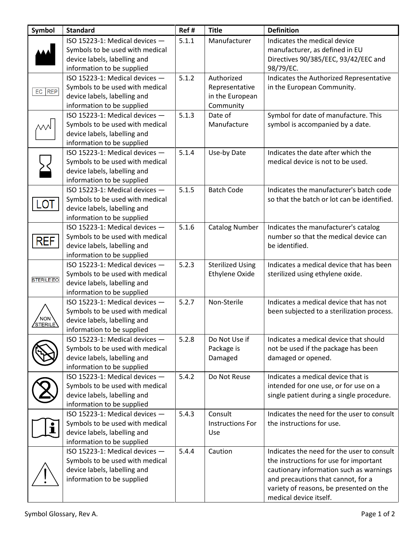| Symbol                  | <b>Standard</b>                 | Ref#  | <b>Title</b>            | <b>Definition</b>                           |
|-------------------------|---------------------------------|-------|-------------------------|---------------------------------------------|
|                         | ISO 15223-1: Medical devices -  | 5.1.1 | Manufacturer            | Indicates the medical device                |
|                         | Symbols to be used with medical |       |                         | manufacturer, as defined in EU              |
|                         | device labels, labelling and    |       |                         | Directives 90/385/EEC, 93/42/EEC and        |
|                         | information to be supplied      |       |                         | 98/79/EC.                                   |
|                         | ISO 15223-1: Medical devices -  | 5.1.2 | Authorized              | Indicates the Authorized Representative     |
|                         | Symbols to be used with medical |       | Representative          | in the European Community.                  |
| EC REP                  | device labels, labelling and    |       | in the European         |                                             |
|                         | information to be supplied      |       | Community               |                                             |
|                         | ISO 15223-1: Medical devices -  | 5.1.3 | Date of                 | Symbol for date of manufacture. This        |
|                         | Symbols to be used with medical |       | Manufacture             | symbol is accompanied by a date.            |
|                         | device labels, labelling and    |       |                         |                                             |
|                         | information to be supplied      |       |                         |                                             |
|                         | ISO 15223-1: Medical devices -  | 5.1.4 | Use-by Date             | Indicates the date after which the          |
|                         | Symbols to be used with medical |       |                         | medical device is not to be used.           |
|                         | device labels, labelling and    |       |                         |                                             |
|                         | information to be supplied      |       |                         |                                             |
|                         | ISO 15223-1: Medical devices -  | 5.1.5 | <b>Batch Code</b>       | Indicates the manufacturer's batch code     |
|                         | Symbols to be used with medical |       |                         | so that the batch or lot can be identified. |
| LOT                     | device labels, labelling and    |       |                         |                                             |
|                         | information to be supplied      |       |                         |                                             |
|                         | ISO 15223-1: Medical devices -  | 5.1.6 | <b>Catalog Number</b>   | Indicates the manufacturer's catalog        |
| <b>REF</b>              | Symbols to be used with medical |       |                         | number so that the medical device can       |
|                         | device labels, labelling and    |       |                         | be identified.                              |
|                         | information to be supplied      |       |                         |                                             |
|                         | ISO 15223-1: Medical devices -  | 5.2.3 | <b>Sterilized Using</b> | Indicates a medical device that has been    |
|                         | Symbols to be used with medical |       | Ethylene Oxide          | sterilized using ethylene oxide.            |
| <b>STERILE EO</b>       | device labels, labelling and    |       |                         |                                             |
|                         | information to be supplied      |       |                         |                                             |
|                         | ISO 15223-1: Medical devices -  | 5.2.7 | Non-Sterile             | Indicates a medical device that has not     |
|                         | Symbols to be used with medical |       |                         | been subjected to a sterilization process.  |
| <b>NON</b><br>'STERILE' | device labels, labelling and    |       |                         |                                             |
|                         | information to be supplied      |       |                         |                                             |
|                         | ISO 15223-1: Medical devices -  | 5.2.8 | Do Not Use if           | Indicates a medical device that should      |
|                         | Symbols to be used with medical |       | Package is              | not be used if the package has been         |
|                         | device labels, labelling and    |       | Damaged                 | damaged or opened.                          |
|                         | information to be supplied      |       |                         |                                             |
|                         | ISO 15223-1: Medical devices -  | 5.4.2 | Do Not Reuse            | Indicates a medical device that is          |
|                         | Symbols to be used with medical |       |                         | intended for one use, or for use on a       |
|                         | device labels, labelling and    |       |                         | single patient during a single procedure.   |
|                         | information to be supplied      |       |                         |                                             |
|                         | ISO 15223-1: Medical devices -  | 5.4.3 | Consult                 | Indicates the need for the user to consult  |
|                         | Symbols to be used with medical |       | <b>Instructions For</b> | the instructions for use.                   |
|                         | device labels, labelling and    |       | Use                     |                                             |
|                         | information to be supplied      |       |                         |                                             |
|                         | ISO 15223-1: Medical devices -  | 5.4.4 | Caution                 | Indicates the need for the user to consult  |
|                         | Symbols to be used with medical |       |                         | the instructions for use for important      |
|                         | device labels, labelling and    |       |                         | cautionary information such as warnings     |
|                         | information to be supplied      |       |                         | and precautions that cannot, for a          |
|                         |                                 |       |                         | variety of reasons, be presented on the     |
|                         |                                 |       |                         | medical device itself.                      |